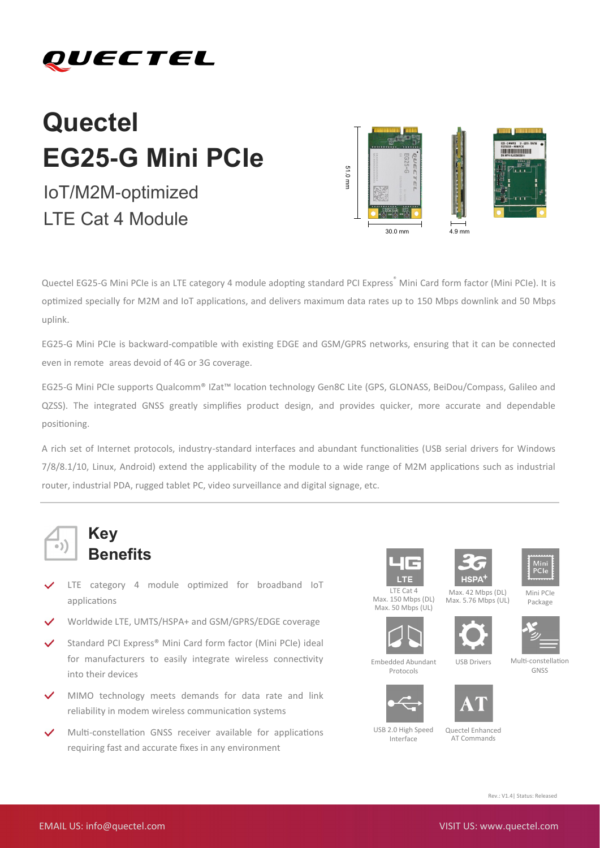### QUECTEL

# **Quectel EG25-G Mini PCIe**

## **BRIDGE INTERNATIONAL PROPERTY** 51.0 mm 30.0 mm 4.9 mm

Quectel EG25-G Mini PCIe is an LTE category 4 module adopting standard PCI Express® Mini Card form factor (Mini PCIe). It is optimized specially for M2M and IoT applications, and delivers maximum data rates up to 150 Mbps downlink and 50 Mbps uplink.

EG25-G Mini PCIe is backward-compatible with existing EDGE and GSM/GPRS networks, ensuring that it can be connected even in remote areas devoid of 4G or 3G coverage.

EG25-G Mini PCIe supports Qualcomm® IZat™ location technology Gen8C Lite (GPS, GLONASS, BeiDou/Compass, Galileo and QZSS). The integrated GNSS greatly simplifies product design, and provides quicker, more accurate and dependable positioning.

A rich set of Internet protocols, industry-standard interfaces and abundant functionalities (USB serial drivers for Windows 7/8/8.1/10, Linux, Android) extend the applicability of the module to a wide range of M2M applications such as industrial router, industrial PDA, rugged tablet PC, video surveillance and digital signage, etc.



### **Key Benefits**

- LTE category 4 module optimized for broadband IoT applications
- Worldwide LTE, UMTS/HSPA+ and GSM/GPRS/EDGE coverage
- Standard PCI Express® Mini Card form factor (Mini PCIe) ideal for manufacturers to easily integrate wireless connectivity into their devices
- MIMO technology meets demands for data rate and link reliability in modem wireless communication systems
- Multi-constellation GNSS receiver available for applications requiring fast and accurate fixes in any environment







Mini PCIe Package

LTE Cat 4 Max. 150 Mbps (DL) Max. 50 Mbps (UL) Max. 42 Mbps (DL) Max. 5.76 Mbps (UL)







Multi-constellation GNSS



Embedded Abundant Protocols

USB 2.0 High Speed Interface



AT Commands

Rev.: V1.4| Status: Released

IoT/M2M-optimized LTE Cat 4 Module